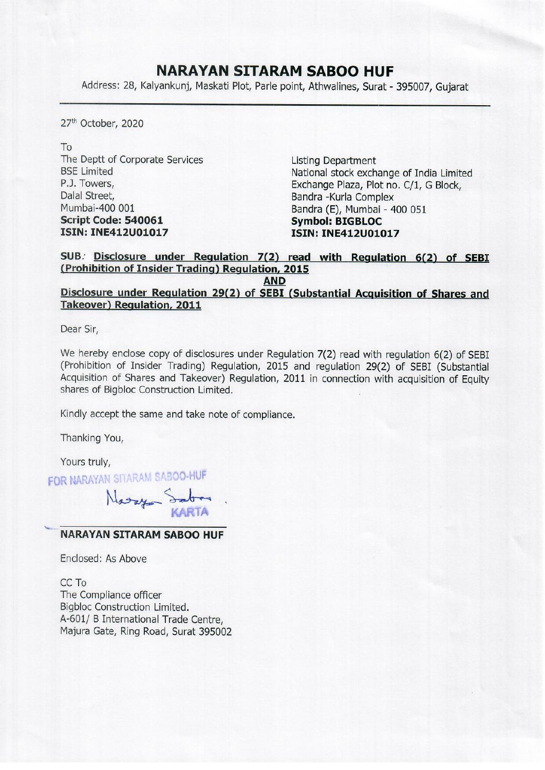## NARAYAN SITARAM SABOO HUF

**NARAYAN SITAF**<br>Address: 28, Kalyankunj, Maskati Plot, Parle Address: 28, Kalyankunj, Maskati Plot, Parle point, Athwalines, Surat - 395007, Gujarat

27" October, 2020

To The Deptt of Corporate Services Listing Department Mumbai-400 001 Bandra (E), Mumbai - 400 051 Script Code: 540061 Symbol: BIGBLOC ISIN: INE412U01017 ISIN: INE412U01017

BSE Limited National stock exchange of India Limited P.J. Towers,<br>
Dalal Street.<br>
Dalal Street.<br>
Bandra -Kurla Complex Bandra -Kurla Complex

## SUB: Disclosure under Regulation 7(2) read with Regulation 6(2) of SEBI (Prohibition of Insider Trading) Regulation, 2015

AND

## Disclosure under Regulation 29(2) of SEBI (Substantial Acquisition of Shares and Takeover) Regulation, 2011

Dear Sir,

We hereby enclose copy of disclosures under Regulation 7(2) read with regulation 6(2) of SEBI (Prohibition of Insider Trading) Regulation, 2015 and regulation 29(2) of SEBI (Substantial Acquisition of Shares and Takeover) Regulation, 2011 in connection with acquisition of Equity shares of Bigbloc Construction Limited.

Kindly accept the same and take note of compliance.

Thanking You,

Yours truly,

FOR NARAYAN SITARAM SABOO-HUF

Nary S

## NARAYAN SITARAM SABOO HUF

Enclosed: As Above

CC To The Compliance officer Bigbloc Construction Limited. A-601/ B International Trade Centre, Majura Gate, Ring Road, Surat 395002